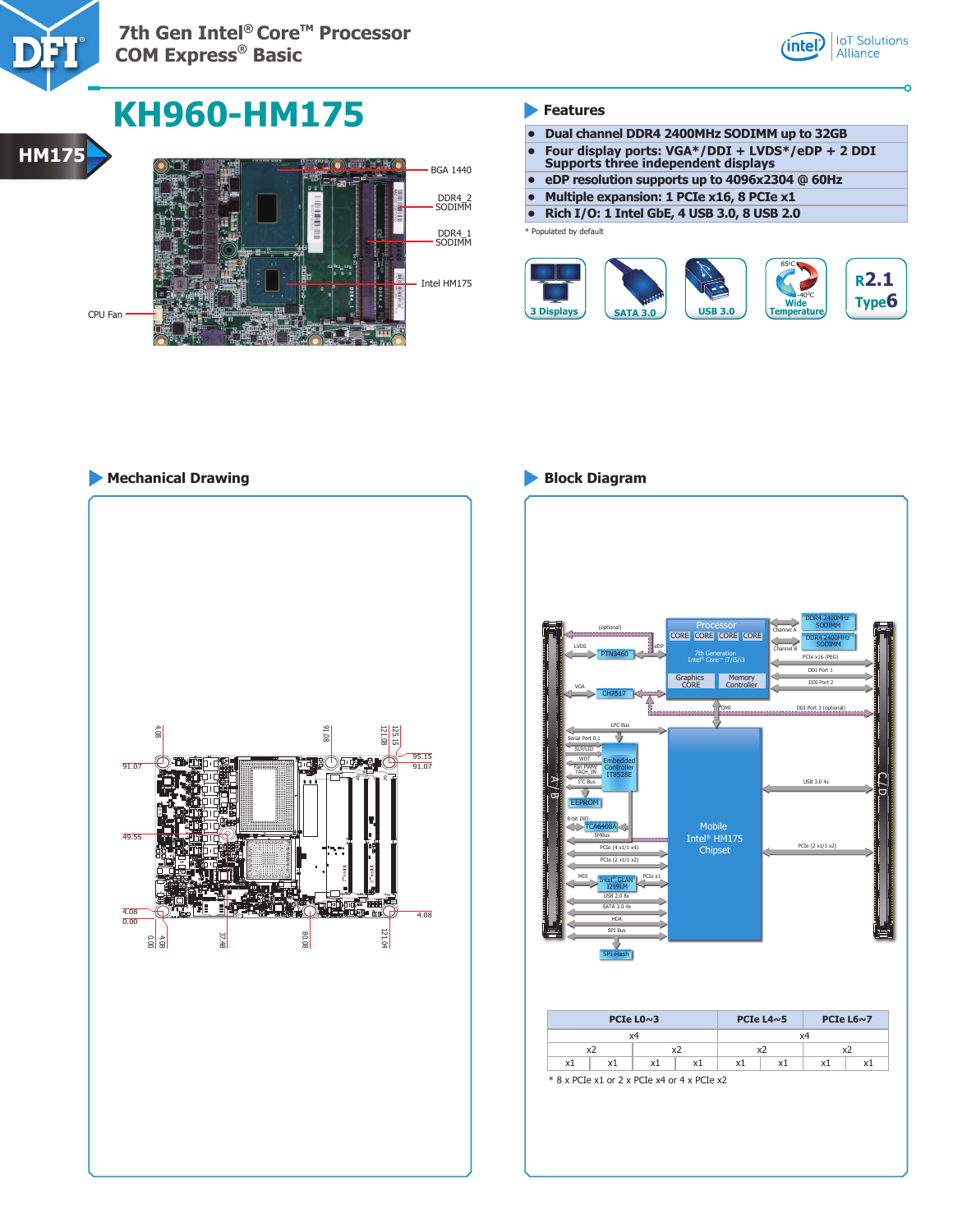

**7th Gen Intel® Core™ Processor COM Express® Basic**



# **KH960-HM175 Features**



- **• Dual channel DDR4 2400MHz SODIMM up to 32GB**
- **• Four display ports: VGA\*/DDI + LVDS\*/eDP + 2 DDI**
- **Supports three independent displays • eDP resolution supports up to 4096x2304 @ 60Hz**
- **• Multiple expansion: 1 PCIe x16, 8 PCIe x1**
- **• Rich I/O: 1 Intel GbE, 4 USB 3.0, 8 USB 2.0**

\* Populated by default



# **Mechanical Drawing Block Diagram**